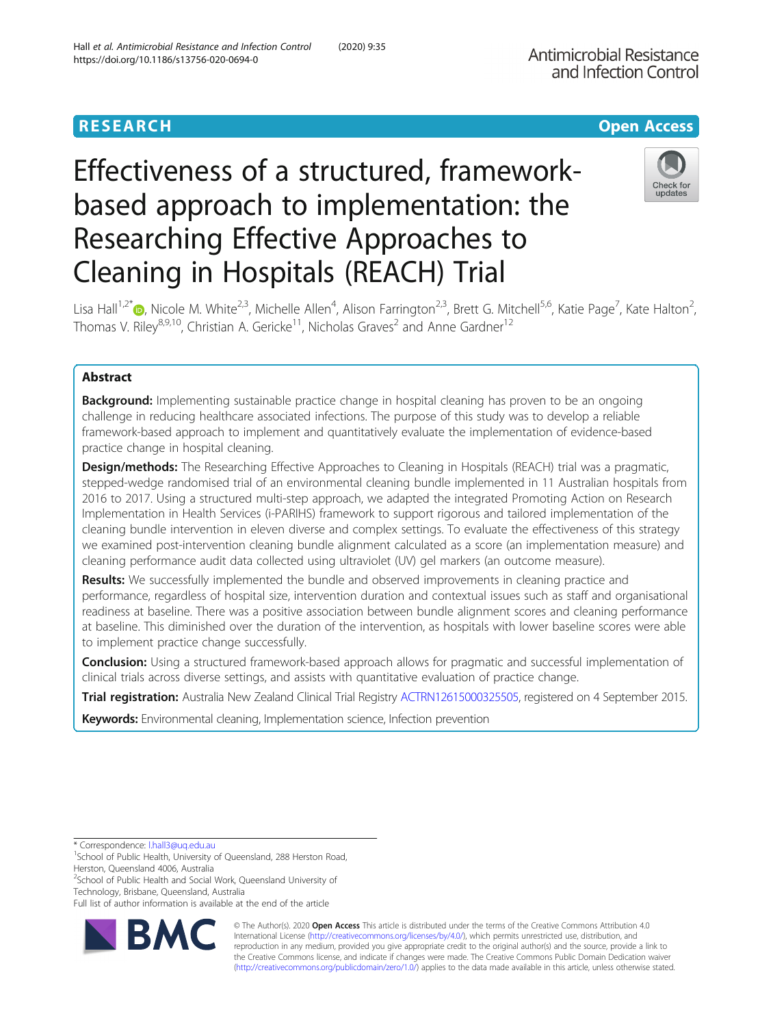https://doi.org/10.1186/s13756-020-0694-0

Hall et al. Antimicrobial Resistance and Infection Control (2020) 9:35

# **RESEARCH CHE Open Access**

# Effectiveness of a structured, frameworkbased approach to implementation: the Researching Effective Approaches to Cleaning in Hospitals (REACH) Trial



Lisa Hall<sup>1,2\*</sup>®, Nicole M. White<sup>2,3</sup>, Michelle Allen<sup>4</sup>, Alison Farrington<sup>2,3</sup>, Brett G. Mitchell<sup>5,6</sup>, Katie Page<sup>7</sup>, Kate Halton<sup>2</sup> , Thomas V. Riley<sup>8,9,10</sup>, Christian A. Gericke<sup>11</sup>, Nicholas Graves<sup>2</sup> and Anne Gardner<sup>12</sup>

# Abstract

**Background:** Implementing sustainable practice change in hospital cleaning has proven to be an ongoing challenge in reducing healthcare associated infections. The purpose of this study was to develop a reliable framework-based approach to implement and quantitatively evaluate the implementation of evidence-based practice change in hospital cleaning.

Design/methods: The Researching Effective Approaches to Cleaning in Hospitals (REACH) trial was a pragmatic, stepped-wedge randomised trial of an environmental cleaning bundle implemented in 11 Australian hospitals from 2016 to 2017. Using a structured multi-step approach, we adapted the integrated Promoting Action on Research Implementation in Health Services (i-PARIHS) framework to support rigorous and tailored implementation of the cleaning bundle intervention in eleven diverse and complex settings. To evaluate the effectiveness of this strategy we examined post-intervention cleaning bundle alignment calculated as a score (an implementation measure) and cleaning performance audit data collected using ultraviolet (UV) gel markers (an outcome measure).

Results: We successfully implemented the bundle and observed improvements in cleaning practice and performance, regardless of hospital size, intervention duration and contextual issues such as staff and organisational readiness at baseline. There was a positive association between bundle alignment scores and cleaning performance at baseline. This diminished over the duration of the intervention, as hospitals with lower baseline scores were able to implement practice change successfully.

Conclusion: Using a structured framework-based approach allows for pragmatic and successful implementation of clinical trials across diverse settings, and assists with quantitative evaluation of practice change.

Trial registration: Australia New Zealand Clinical Trial Registry [ACTRN12615000325505,](https://www.anzctr.org.au/Trial/Registration/TrialReview.aspx?id=368200) registered on 4 September 2015.

Keywords: Environmental cleaning, Implementation science, Infection prevention

<sup>2</sup>School of Public Health and Social Work, Queensland University of Technology, Brisbane, Queensland, Australia

Full list of author information is available at the end of the article



© The Author(s). 2020 **Open Access** This article is distributed under the terms of the Creative Commons Attribution 4.0 International License [\(http://creativecommons.org/licenses/by/4.0/](http://creativecommons.org/licenses/by/4.0/)), which permits unrestricted use, distribution, and reproduction in any medium, provided you give appropriate credit to the original author(s) and the source, provide a link to the Creative Commons license, and indicate if changes were made. The Creative Commons Public Domain Dedication waiver [\(http://creativecommons.org/publicdomain/zero/1.0/](http://creativecommons.org/publicdomain/zero/1.0/)) applies to the data made available in this article, unless otherwise stated.

<sup>\*</sup> Correspondence: [l.hall3@uq.edu.au](mailto:l.hall3@uq.edu.au) <sup>1</sup>

<sup>&</sup>lt;sup>1</sup> School of Public Health, University of Queensland, 288 Herston Road, Herston, Queensland 4006, Australia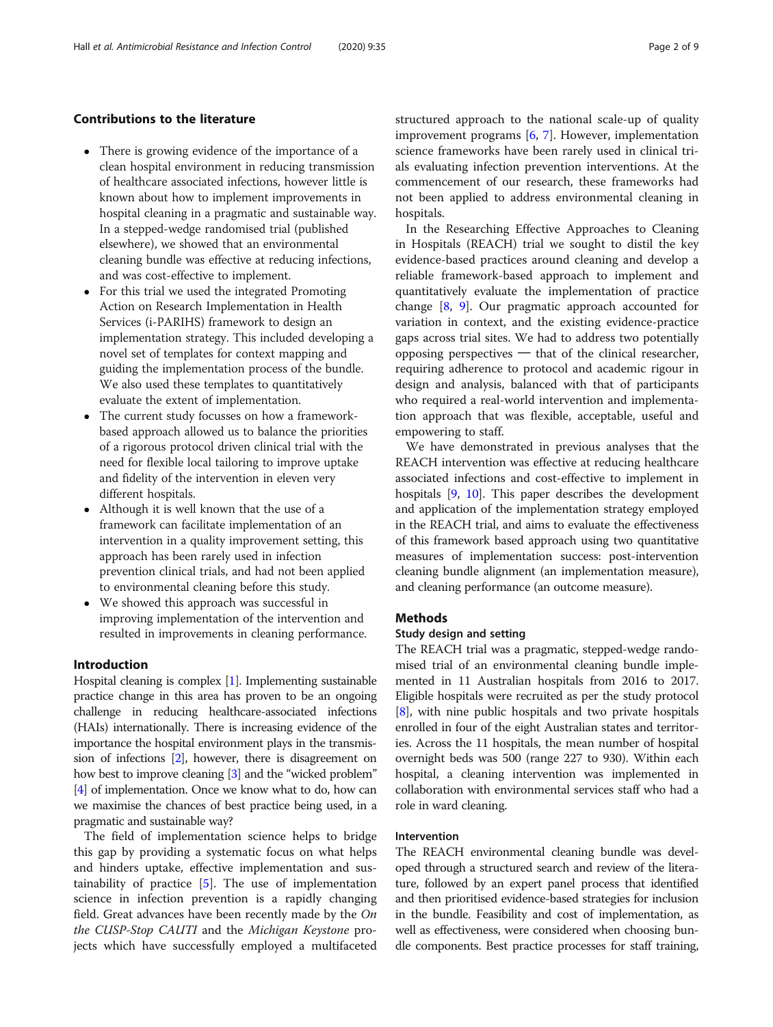# Contributions to the literature

- There is growing evidence of the importance of a clean hospital environment in reducing transmission of healthcare associated infections, however little is known about how to implement improvements in hospital cleaning in a pragmatic and sustainable way. In a stepped-wedge randomised trial (published elsewhere), we showed that an environmental cleaning bundle was effective at reducing infections, and was cost-effective to implement.
- For this trial we used the integrated Promoting Action on Research Implementation in Health Services (i-PARIHS) framework to design an implementation strategy. This included developing a novel set of templates for context mapping and guiding the implementation process of the bundle. We also used these templates to quantitatively evaluate the extent of implementation.
- The current study focusses on how a frameworkbased approach allowed us to balance the priorities of a rigorous protocol driven clinical trial with the need for flexible local tailoring to improve uptake and fidelity of the intervention in eleven very different hospitals.
- Although it is well known that the use of a framework can facilitate implementation of an intervention in a quality improvement setting, this approach has been rarely used in infection prevention clinical trials, and had not been applied to environmental cleaning before this study.
- We showed this approach was successful in improving implementation of the intervention and resulted in improvements in cleaning performance.

# Introduction

Hospital cleaning is complex [\[1](#page-7-0)]. Implementing sustainable practice change in this area has proven to be an ongoing challenge in reducing healthcare-associated infections (HAIs) internationally. There is increasing evidence of the importance the hospital environment plays in the transmission of infections [\[2\]](#page-7-0), however, there is disagreement on how best to improve cleaning [\[3\]](#page-7-0) and the "wicked problem" [[4](#page-7-0)] of implementation. Once we know what to do, how can we maximise the chances of best practice being used, in a pragmatic and sustainable way?

The field of implementation science helps to bridge this gap by providing a systematic focus on what helps and hinders uptake, effective implementation and sustainability of practice [\[5](#page-7-0)]. The use of implementation science in infection prevention is a rapidly changing field. Great advances have been recently made by the On the CUSP-Stop CAUTI and the Michigan Keystone projects which have successfully employed a multifaceted structured approach to the national scale-up of quality improvement programs [[6,](#page-7-0) [7](#page-7-0)]. However, implementation science frameworks have been rarely used in clinical trials evaluating infection prevention interventions. At the commencement of our research, these frameworks had not been applied to address environmental cleaning in hospitals.

In the Researching Effective Approaches to Cleaning in Hospitals (REACH) trial we sought to distil the key evidence-based practices around cleaning and develop a reliable framework-based approach to implement and quantitatively evaluate the implementation of practice change [[8,](#page-8-0) [9\]](#page-8-0). Our pragmatic approach accounted for variation in context, and the existing evidence-practice gaps across trial sites. We had to address two potentially opposing perspectives ─ that of the clinical researcher, requiring adherence to protocol and academic rigour in design and analysis, balanced with that of participants who required a real-world intervention and implementation approach that was flexible, acceptable, useful and empowering to staff.

We have demonstrated in previous analyses that the REACH intervention was effective at reducing healthcare associated infections and cost-effective to implement in hospitals [[9](#page-8-0), [10\]](#page-8-0). This paper describes the development and application of the implementation strategy employed in the REACH trial, and aims to evaluate the effectiveness of this framework based approach using two quantitative measures of implementation success: post-intervention cleaning bundle alignment (an implementation measure), and cleaning performance (an outcome measure).

### Methods

### Study design and setting

The REACH trial was a pragmatic, stepped-wedge randomised trial of an environmental cleaning bundle implemented in 11 Australian hospitals from 2016 to 2017. Eligible hospitals were recruited as per the study protocol [[8\]](#page-8-0), with nine public hospitals and two private hospitals enrolled in four of the eight Australian states and territories. Across the 11 hospitals, the mean number of hospital overnight beds was 500 (range 227 to 930). Within each hospital, a cleaning intervention was implemented in collaboration with environmental services staff who had a role in ward cleaning.

# Intervention

The REACH environmental cleaning bundle was developed through a structured search and review of the literature, followed by an expert panel process that identified and then prioritised evidence-based strategies for inclusion in the bundle. Feasibility and cost of implementation, as well as effectiveness, were considered when choosing bundle components. Best practice processes for staff training,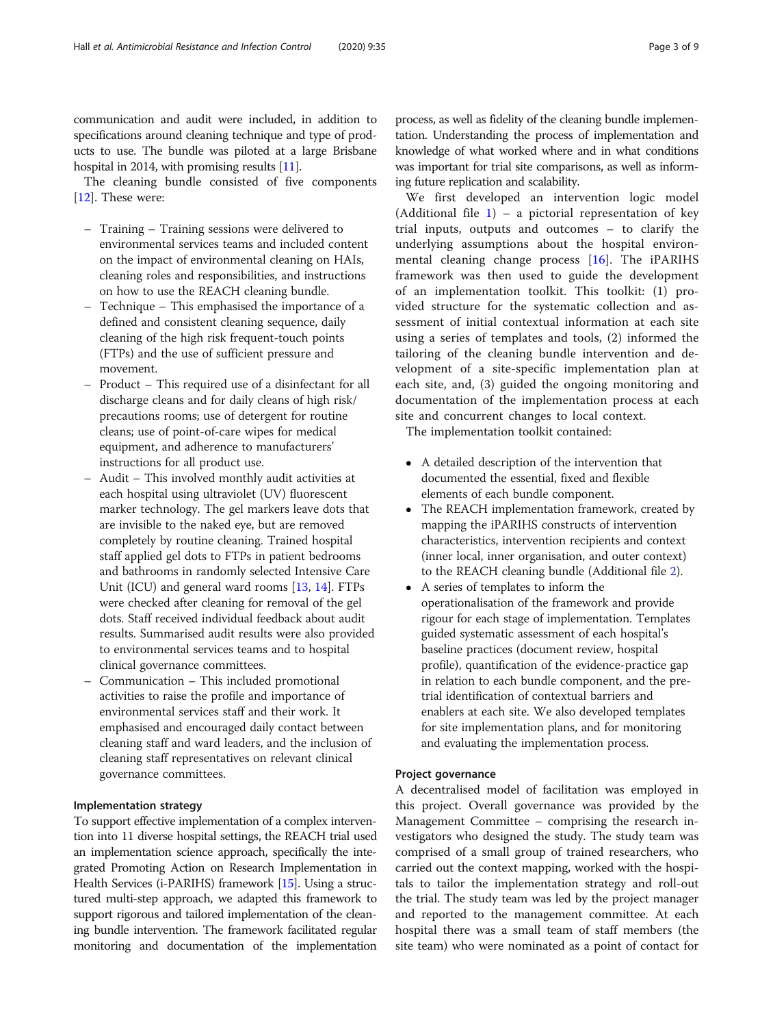communication and audit were included, in addition to specifications around cleaning technique and type of products to use. The bundle was piloted at a large Brisbane hospital in 2014, with promising results [\[11\]](#page-8-0).

The cleaning bundle consisted of five components [[12\]](#page-8-0). These were:

- Training Training sessions were delivered to environmental services teams and included content on the impact of environmental cleaning on HAIs, cleaning roles and responsibilities, and instructions on how to use the REACH cleaning bundle.
- Technique This emphasised the importance of a defined and consistent cleaning sequence, daily cleaning of the high risk frequent-touch points (FTPs) and the use of sufficient pressure and movement.
- Product This required use of a disinfectant for all discharge cleans and for daily cleans of high risk/ precautions rooms; use of detergent for routine cleans; use of point-of-care wipes for medical equipment, and adherence to manufacturers' instructions for all product use.
- Audit This involved monthly audit activities at each hospital using ultraviolet (UV) fluorescent marker technology. The gel markers leave dots that are invisible to the naked eye, but are removed completely by routine cleaning. Trained hospital staff applied gel dots to FTPs in patient bedrooms and bathrooms in randomly selected Intensive Care Unit (ICU) and general ward rooms [[13,](#page-8-0) [14](#page-8-0)]. FTPs were checked after cleaning for removal of the gel dots. Staff received individual feedback about audit results. Summarised audit results were also provided to environmental services teams and to hospital clinical governance committees.
- Communication This included promotional activities to raise the profile and importance of environmental services staff and their work. It emphasised and encouraged daily contact between cleaning staff and ward leaders, and the inclusion of cleaning staff representatives on relevant clinical governance committees.

# Implementation strategy

To support effective implementation of a complex intervention into 11 diverse hospital settings, the REACH trial used an implementation science approach, specifically the integrated Promoting Action on Research Implementation in Health Services (i-PARIHS) framework [\[15](#page-8-0)]. Using a structured multi-step approach, we adapted this framework to support rigorous and tailored implementation of the cleaning bundle intervention. The framework facilitated regular monitoring and documentation of the implementation process, as well as fidelity of the cleaning bundle implementation. Understanding the process of implementation and knowledge of what worked where and in what conditions was important for trial site comparisons, as well as informing future replication and scalability.

We first developed an intervention logic model (Additional file  $1$ ) – a pictorial representation of key trial inputs, outputs and outcomes – to clarify the underlying assumptions about the hospital environmental cleaning change process [[16\]](#page-8-0). The iPARIHS framework was then used to guide the development of an implementation toolkit. This toolkit: (1) provided structure for the systematic collection and assessment of initial contextual information at each site using a series of templates and tools, (2) informed the tailoring of the cleaning bundle intervention and development of a site-specific implementation plan at each site, and, (3) guided the ongoing monitoring and documentation of the implementation process at each site and concurrent changes to local context.

The implementation toolkit contained:

- A detailed description of the intervention that documented the essential, fixed and flexible elements of each bundle component.
- The REACH implementation framework, created by mapping the iPARIHS constructs of intervention characteristics, intervention recipients and context (inner local, inner organisation, and outer context) to the REACH cleaning bundle (Additional file [2](#page-7-0)).
- A series of templates to inform the operationalisation of the framework and provide rigour for each stage of implementation. Templates guided systematic assessment of each hospital's baseline practices (document review, hospital profile), quantification of the evidence-practice gap in relation to each bundle component, and the pretrial identification of contextual barriers and enablers at each site. We also developed templates for site implementation plans, and for monitoring and evaluating the implementation process.

# Project governance

A decentralised model of facilitation was employed in this project. Overall governance was provided by the Management Committee – comprising the research investigators who designed the study. The study team was comprised of a small group of trained researchers, who carried out the context mapping, worked with the hospitals to tailor the implementation strategy and roll-out the trial. The study team was led by the project manager and reported to the management committee. At each hospital there was a small team of staff members (the site team) who were nominated as a point of contact for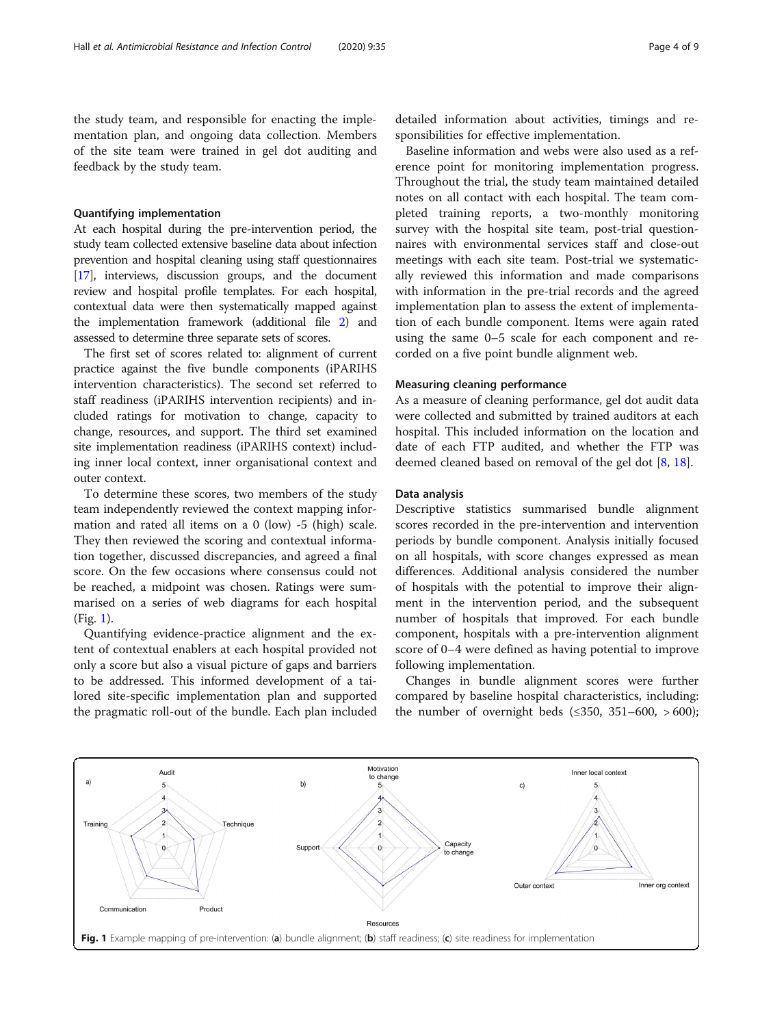the study team, and responsible for enacting the implementation plan, and ongoing data collection. Members of the site team were trained in gel dot auditing and feedback by the study team.

#### Quantifying implementation

At each hospital during the pre-intervention period, the study team collected extensive baseline data about infection prevention and hospital cleaning using staff questionnaires [[17](#page-8-0)], interviews, discussion groups, and the document review and hospital profile templates. For each hospital, contextual data were then systematically mapped against the implementation framework (additional file [2](#page-7-0)) and assessed to determine three separate sets of scores.

The first set of scores related to: alignment of current practice against the five bundle components (iPARIHS intervention characteristics). The second set referred to staff readiness (iPARIHS intervention recipients) and included ratings for motivation to change, capacity to change, resources, and support. The third set examined site implementation readiness (iPARIHS context) including inner local context, inner organisational context and outer context.

To determine these scores, two members of the study team independently reviewed the context mapping information and rated all items on a 0 (low) -5 (high) scale. They then reviewed the scoring and contextual information together, discussed discrepancies, and agreed a final score. On the few occasions where consensus could not be reached, a midpoint was chosen. Ratings were summarised on a series of web diagrams for each hospital (Fig. 1).

Quantifying evidence-practice alignment and the extent of contextual enablers at each hospital provided not only a score but also a visual picture of gaps and barriers to be addressed. This informed development of a tailored site-specific implementation plan and supported the pragmatic roll-out of the bundle. Each plan included

detailed information about activities, timings and responsibilities for effective implementation.

Baseline information and webs were also used as a reference point for monitoring implementation progress. Throughout the trial, the study team maintained detailed notes on all contact with each hospital. The team completed training reports, a two-monthly monitoring survey with the hospital site team, post-trial questionnaires with environmental services staff and close-out meetings with each site team. Post-trial we systematically reviewed this information and made comparisons with information in the pre-trial records and the agreed implementation plan to assess the extent of implementation of each bundle component. Items were again rated using the same 0–5 scale for each component and recorded on a five point bundle alignment web.

# Measuring cleaning performance

As a measure of cleaning performance, gel dot audit data were collected and submitted by trained auditors at each hospital. This included information on the location and date of each FTP audited, and whether the FTP was deemed cleaned based on removal of the gel dot  $[8, 18]$  $[8, 18]$  $[8, 18]$  $[8, 18]$ .

#### Data analysis

Descriptive statistics summarised bundle alignment scores recorded in the pre-intervention and intervention periods by bundle component. Analysis initially focused on all hospitals, with score changes expressed as mean differences. Additional analysis considered the number of hospitals with the potential to improve their alignment in the intervention period, and the subsequent number of hospitals that improved. For each bundle component, hospitals with a pre-intervention alignment score of 0–4 were defined as having potential to improve following implementation.

Changes in bundle alignment scores were further compared by baseline hospital characteristics, including: the number of overnight beds  $(\leq 350, 351-600, > 600);$ 

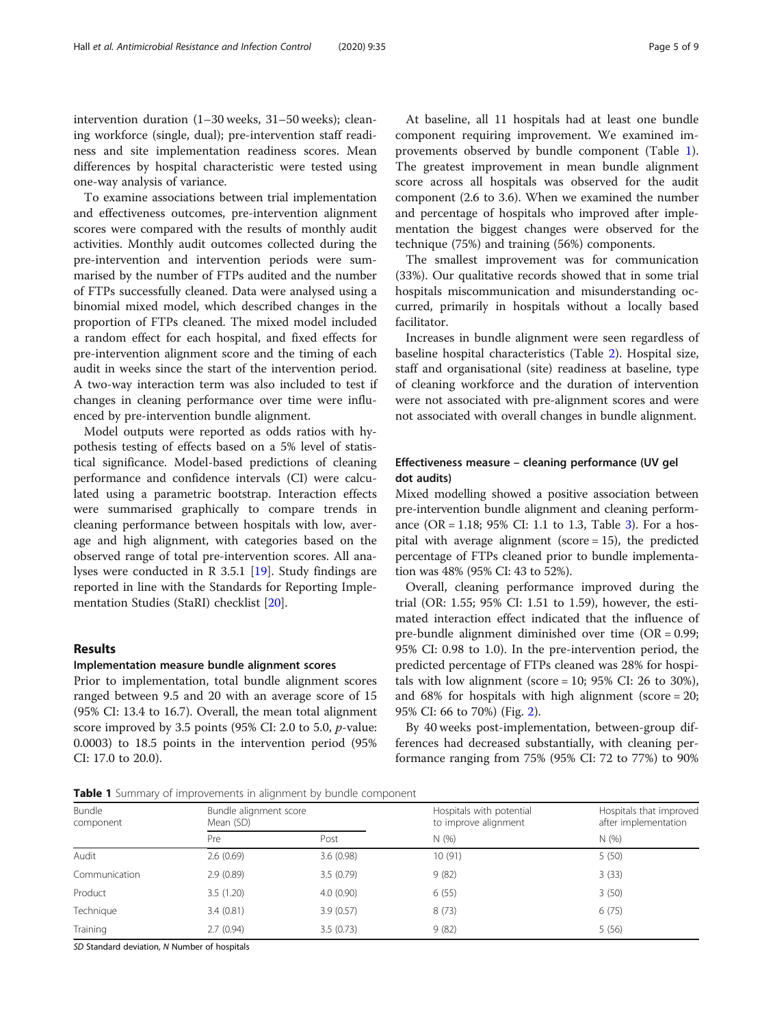intervention duration (1–30 weeks, 31–50 weeks); cleaning workforce (single, dual); pre-intervention staff readiness and site implementation readiness scores. Mean differences by hospital characteristic were tested using one-way analysis of variance.

To examine associations between trial implementation and effectiveness outcomes, pre-intervention alignment scores were compared with the results of monthly audit activities. Monthly audit outcomes collected during the pre-intervention and intervention periods were summarised by the number of FTPs audited and the number of FTPs successfully cleaned. Data were analysed using a binomial mixed model, which described changes in the proportion of FTPs cleaned. The mixed model included a random effect for each hospital, and fixed effects for pre-intervention alignment score and the timing of each audit in weeks since the start of the intervention period. A two-way interaction term was also included to test if changes in cleaning performance over time were influenced by pre-intervention bundle alignment.

Model outputs were reported as odds ratios with hypothesis testing of effects based on a 5% level of statistical significance. Model-based predictions of cleaning performance and confidence intervals (CI) were calculated using a parametric bootstrap. Interaction effects were summarised graphically to compare trends in cleaning performance between hospitals with low, average and high alignment, with categories based on the observed range of total pre-intervention scores. All analyses were conducted in R 3.5.1 [\[19\]](#page-8-0). Study findings are reported in line with the Standards for Reporting Implementation Studies (StaRI) checklist [[20](#page-8-0)].

#### Results

### Implementation measure bundle alignment scores

Prior to implementation, total bundle alignment scores ranged between 9.5 and 20 with an average score of 15 (95% CI: 13.4 to 16.7). Overall, the mean total alignment score improved by 3.5 points (95% CI: 2.0 to 5.0, p-value: 0.0003) to 18.5 points in the intervention period (95% CI: 17.0 to 20.0).

At baseline, all 11 hospitals had at least one bundle component requiring improvement. We examined improvements observed by bundle component (Table 1). The greatest improvement in mean bundle alignment score across all hospitals was observed for the audit component (2.6 to 3.6). When we examined the number and percentage of hospitals who improved after implementation the biggest changes were observed for the technique (75%) and training (56%) components.

The smallest improvement was for communication (33%). Our qualitative records showed that in some trial hospitals miscommunication and misunderstanding occurred, primarily in hospitals without a locally based facilitator.

Increases in bundle alignment were seen regardless of baseline hospital characteristics (Table [2](#page-5-0)). Hospital size, staff and organisational (site) readiness at baseline, type of cleaning workforce and the duration of intervention were not associated with pre-alignment scores and were not associated with overall changes in bundle alignment.

# Effectiveness measure – cleaning performance (UV gel dot audits)

Mixed modelling showed a positive association between pre-intervention bundle alignment and cleaning performance (OR = 1.18; 95% CI: 1.1 to 1.3, Table [3\)](#page-5-0). For a hospital with average alignment ( $score = 15$ ), the predicted percentage of FTPs cleaned prior to bundle implementation was 48% (95% CI: 43 to 52%).

Overall, cleaning performance improved during the trial (OR: 1.55; 95% CI: 1.51 to 1.59), however, the estimated interaction effect indicated that the influence of pre-bundle alignment diminished over time (OR = 0.99; 95% CI: 0.98 to 1.0). In the pre-intervention period, the predicted percentage of FTPs cleaned was 28% for hospitals with low alignment (score =  $10$ ;  $95\%$  CI:  $26$  to  $30\%$ ), and 68% for hospitals with high alignment (score = 20; 95% CI: 66 to 70%) (Fig. [2\)](#page-6-0).

By 40 weeks post-implementation, between-group differences had decreased substantially, with cleaning performance ranging from 75% (95% CI: 72 to 77%) to 90%

Table 1 Summary of improvements in alignment by bundle component

| Bundle<br>component | Bundle alignment score<br>Mean (SD) |           | Hospitals with potential<br>to improve alignment | Hospitals that improved<br>after implementation |
|---------------------|-------------------------------------|-----------|--------------------------------------------------|-------------------------------------------------|
|                     | Pre                                 | Post      | N(%)                                             | N(%                                             |
| Audit               | 2.6(0.69)                           | 3.6(0.98) | 10(91)                                           | 5(50)                                           |
| Communication       | 2.9(0.89)                           | 3.5(0.79) | 9(82)                                            | 3(33)                                           |
| Product             | 3.5(1.20)                           | 4.0(0.90) | 6(55)                                            | 3(50)                                           |
| Technique           | 3.4(0.81)                           | 3.9(0.57) | 8(73)                                            | 6(75)                                           |
| Training            | 2.7(0.94)                           | 3.5(0.73) | 9(82)                                            | 5(56)                                           |

SD Standard deviation, N Number of hospitals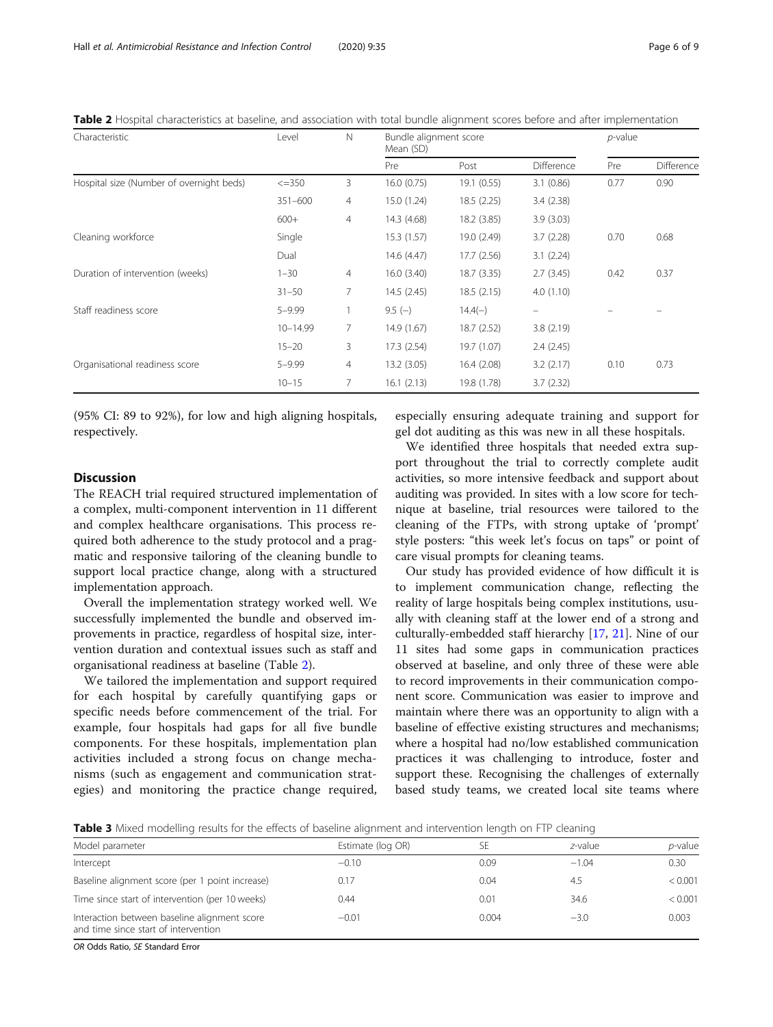<span id="page-5-0"></span>Table 2 Hospital characteristics at baseline, and association with total bundle alignment scores before and after implementation

| Characteristic                           | Level        | N              | Bundle alignment score<br>Mean (SD) |             |            | $p$ -value |            |
|------------------------------------------|--------------|----------------|-------------------------------------|-------------|------------|------------|------------|
|                                          |              |                | Pre                                 | Post        | Difference | Pre        | Difference |
| Hospital size (Number of overnight beds) | $\leq$ = 350 | 3              | 16.0(0.75)                          | 19.1 (0.55) | 3.1(0.86)  | 0.77       | 0.90       |
|                                          | 351-600      | $\overline{4}$ | 15.0 (1.24)                         | 18.5 (2.25) | 3.4(2.38)  |            |            |
|                                          | $600+$       | 4              | 14.3 (4.68)                         | 18.2 (3.85) | 3.9(3.03)  |            |            |
| Cleaning workforce                       | Single       |                | 15.3(1.57)                          | 19.0 (2.49) | 3.7(2.28)  | 0.70       | 0.68       |
|                                          | Dual         |                | 14.6 (4.47)                         | 17.7(2.56)  | 3.1(2.24)  |            |            |
| Duration of intervention (weeks)         | $1 - 30$     | 4              | 16.0(3.40)                          | 18.7 (3.35) | 2.7(3.45)  | 0.42       | 0.37       |
|                                          | $31 - 50$    | 7              | 14.5(2.45)                          | 18.5(2.15)  | 4.0(1.10)  |            |            |
| Staff readiness score                    | $5 - 9.99$   |                | $9.5(-)$                            | $14.4(-)$   |            |            |            |
|                                          | 10-14.99     | 7              | 14.9 (1.67)                         | 18.7 (2.52) | 3.8(2.19)  |            |            |
|                                          | $15 - 20$    | 3              | 17.3 (2.54)                         | 19.7 (1.07) | 2.4(2.45)  |            |            |
| Organisational readiness score           | $5 - 9.99$   | 4              | 13.2(3.05)                          | 16.4 (2.08) | 3.2(2.17)  | 0.10       | 0.73       |
|                                          | $10 - 15$    | 7              | 16.1(2.13)                          | 19.8 (1.78) | 3.7(2.32)  |            |            |

(95% CI: 89 to 92%), for low and high aligning hospitals, respectively.

# Discussion

The REACH trial required structured implementation of a complex, multi-component intervention in 11 different and complex healthcare organisations. This process required both adherence to the study protocol and a pragmatic and responsive tailoring of the cleaning bundle to support local practice change, along with a structured implementation approach.

Overall the implementation strategy worked well. We successfully implemented the bundle and observed improvements in practice, regardless of hospital size, intervention duration and contextual issues such as staff and organisational readiness at baseline (Table 2).

We tailored the implementation and support required for each hospital by carefully quantifying gaps or specific needs before commencement of the trial. For example, four hospitals had gaps for all five bundle components. For these hospitals, implementation plan activities included a strong focus on change mechanisms (such as engagement and communication strategies) and monitoring the practice change required, especially ensuring adequate training and support for gel dot auditing as this was new in all these hospitals.

We identified three hospitals that needed extra support throughout the trial to correctly complete audit activities, so more intensive feedback and support about auditing was provided. In sites with a low score for technique at baseline, trial resources were tailored to the cleaning of the FTPs, with strong uptake of 'prompt' style posters: "this week let's focus on taps" or point of care visual prompts for cleaning teams.

Our study has provided evidence of how difficult it is to implement communication change, reflecting the reality of large hospitals being complex institutions, usually with cleaning staff at the lower end of a strong and culturally-embedded staff hierarchy [[17,](#page-8-0) [21\]](#page-8-0). Nine of our 11 sites had some gaps in communication practices observed at baseline, and only three of these were able to record improvements in their communication component score. Communication was easier to improve and maintain where there was an opportunity to align with a baseline of effective existing structures and mechanisms; where a hospital had no/low established communication practices it was challenging to introduce, foster and support these. Recognising the challenges of externally based study teams, we created local site teams where

Table 3 Mixed modelling results for the effects of baseline alignment and intervention length on FTP cleaning

| Model parameter                                                                      | Estimate (log OR) |       | z-value | <i>p</i> -value |
|--------------------------------------------------------------------------------------|-------------------|-------|---------|-----------------|
| Intercept                                                                            | $-0.10$           | 0.09  | $-1.04$ | 0.30            |
| Baseline alignment score (per 1 point increase)                                      | 0.17              | 0.04  | 4.5     | < 0.001         |
| Time since start of intervention (per 10 weeks)                                      | 0.44              | 0.01  | 34.6    | < 0.001         |
| Interaction between baseline alignment score<br>and time since start of intervention | $-0.01$           | 0.004 | $-3.0$  | 0.003           |

OR Odds Ratio, SE Standard Error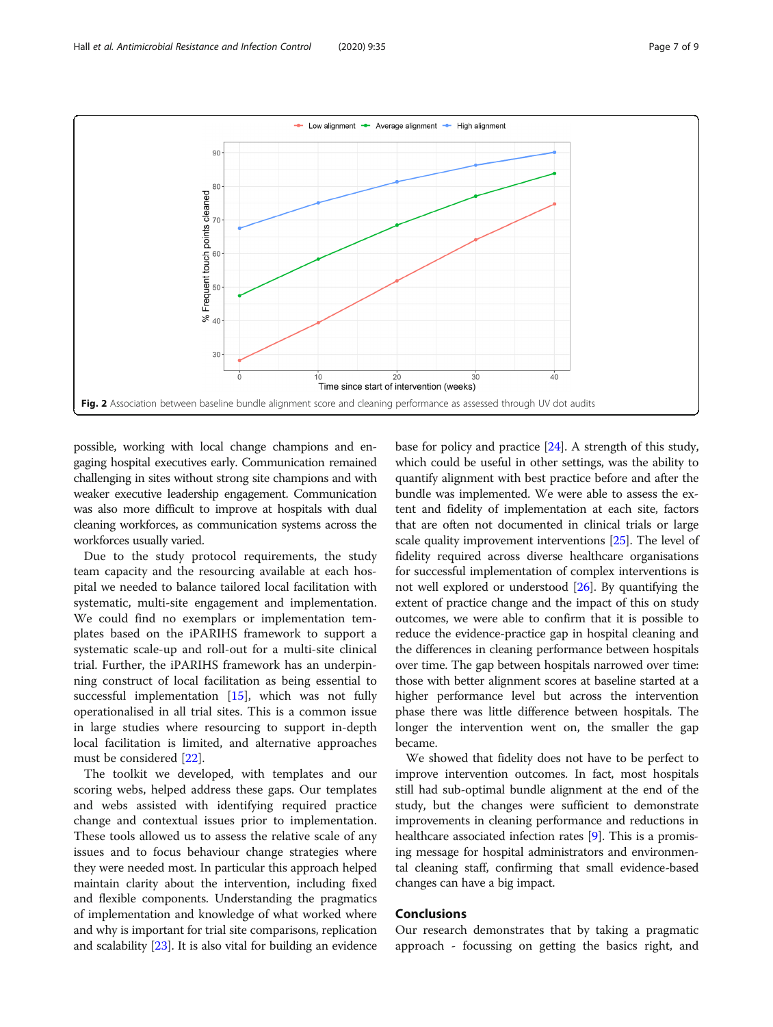<span id="page-6-0"></span>

possible, working with local change champions and engaging hospital executives early. Communication remained challenging in sites without strong site champions and with weaker executive leadership engagement. Communication was also more difficult to improve at hospitals with dual cleaning workforces, as communication systems across the workforces usually varied.

Due to the study protocol requirements, the study team capacity and the resourcing available at each hospital we needed to balance tailored local facilitation with systematic, multi-site engagement and implementation. We could find no exemplars or implementation templates based on the iPARIHS framework to support a systematic scale-up and roll-out for a multi-site clinical trial. Further, the iPARIHS framework has an underpinning construct of local facilitation as being essential to successful implementation [\[15](#page-8-0)], which was not fully operationalised in all trial sites. This is a common issue in large studies where resourcing to support in-depth local facilitation is limited, and alternative approaches must be considered [[22\]](#page-8-0).

The toolkit we developed, with templates and our scoring webs, helped address these gaps. Our templates and webs assisted with identifying required practice change and contextual issues prior to implementation. These tools allowed us to assess the relative scale of any issues and to focus behaviour change strategies where they were needed most. In particular this approach helped maintain clarity about the intervention, including fixed and flexible components. Understanding the pragmatics of implementation and knowledge of what worked where and why is important for trial site comparisons, replication and scalability [\[23\]](#page-8-0). It is also vital for building an evidence

base for policy and practice [\[24\]](#page-8-0). A strength of this study, which could be useful in other settings, was the ability to quantify alignment with best practice before and after the bundle was implemented. We were able to assess the extent and fidelity of implementation at each site, factors that are often not documented in clinical trials or large scale quality improvement interventions [[25](#page-8-0)]. The level of fidelity required across diverse healthcare organisations for successful implementation of complex interventions is not well explored or understood [[26](#page-8-0)]. By quantifying the extent of practice change and the impact of this on study outcomes, we were able to confirm that it is possible to reduce the evidence-practice gap in hospital cleaning and the differences in cleaning performance between hospitals over time. The gap between hospitals narrowed over time: those with better alignment scores at baseline started at a higher performance level but across the intervention phase there was little difference between hospitals. The longer the intervention went on, the smaller the gap became.

We showed that fidelity does not have to be perfect to improve intervention outcomes. In fact, most hospitals still had sub-optimal bundle alignment at the end of the study, but the changes were sufficient to demonstrate improvements in cleaning performance and reductions in healthcare associated infection rates [\[9\]](#page-8-0). This is a promising message for hospital administrators and environmental cleaning staff, confirming that small evidence-based changes can have a big impact.

# Conclusions

Our research demonstrates that by taking a pragmatic approach - focussing on getting the basics right, and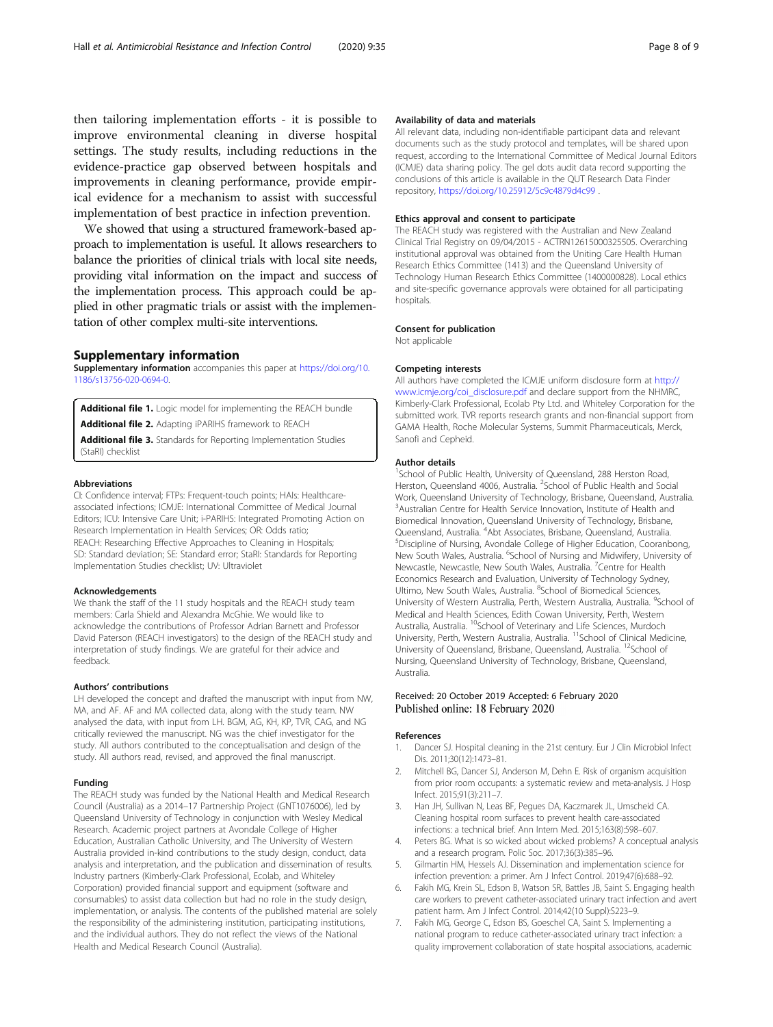<span id="page-7-0"></span>then tailoring implementation efforts - it is possible to improve environmental cleaning in diverse hospital settings. The study results, including reductions in the evidence-practice gap observed between hospitals and improvements in cleaning performance, provide empirical evidence for a mechanism to assist with successful implementation of best practice in infection prevention.

We showed that using a structured framework-based approach to implementation is useful. It allows researchers to balance the priorities of clinical trials with local site needs, providing vital information on the impact and success of the implementation process. This approach could be applied in other pragmatic trials or assist with the implementation of other complex multi-site interventions.

# Supplementary information

Supplementary information accompanies this paper at [https://doi.org/10.](https://doi.org/10.1186/s13756-020-0694-0) [1186/s13756-020-0694-0.](https://doi.org/10.1186/s13756-020-0694-0)

Additional file 1. Logic model for implementing the REACH bundle Additional file 2. Adapting iPARIHS framework to REACH

Additional file 3. Standards for Reporting Implementation Studies (StaRI) checklist

#### Abbreviations

CI: Confidence interval; FTPs: Frequent-touch points; HAIs: Healthcareassociated infections; ICMJE: International Committee of Medical Journal Editors; ICU: Intensive Care Unit; i-PARIHS: Integrated Promoting Action on Research Implementation in Health Services; OR: Odds ratio; REACH: Researching Effective Approaches to Cleaning in Hospitals; SD: Standard deviation; SE: Standard error; StaRI: Standards for Reporting Implementation Studies checklist; UV: Ultraviolet

#### Acknowledgements

We thank the staff of the 11 study hospitals and the REACH study team members: Carla Shield and Alexandra McGhie. We would like to acknowledge the contributions of Professor Adrian Barnett and Professor David Paterson (REACH investigators) to the design of the REACH study and interpretation of study findings. We are grateful for their advice and feedback.

#### Authors' contributions

LH developed the concept and drafted the manuscript with input from NW, MA, and AF. AF and MA collected data, along with the study team. NW analysed the data, with input from LH. BGM, AG, KH, KP, TVR, CAG, and NG critically reviewed the manuscript. NG was the chief investigator for the study. All authors contributed to the conceptualisation and design of the study. All authors read, revised, and approved the final manuscript.

#### Funding

The REACH study was funded by the National Health and Medical Research Council (Australia) as a 2014–17 Partnership Project (GNT1076006), led by Queensland University of Technology in conjunction with Wesley Medical Research. Academic project partners at Avondale College of Higher Education, Australian Catholic University, and The University of Western Australia provided in-kind contributions to the study design, conduct, data analysis and interpretation, and the publication and dissemination of results. Industry partners (Kimberly-Clark Professional, Ecolab, and Whiteley Corporation) provided financial support and equipment (software and consumables) to assist data collection but had no role in the study design, implementation, or analysis. The contents of the published material are solely the responsibility of the administering institution, participating institutions, and the individual authors. They do not reflect the views of the National Health and Medical Research Council (Australia).

### Availability of data and materials

All relevant data, including non-identifiable participant data and relevant documents such as the study protocol and templates, will be shared upon request, according to the International Committee of Medical Journal Editors (ICMJE) data sharing policy. The gel dots audit data record supporting the conclusions of this article is available in the QUT Research Data Finder repository, <https://doi.org/10.25912/5c9c4879d4c99> .

#### Ethics approval and consent to participate

The REACH study was registered with the Australian and New Zealand Clinical Trial Registry on 09/04/2015 - ACTRN12615000325505. Overarching institutional approval was obtained from the Uniting Care Health Human Research Ethics Committee (1413) and the Queensland University of Technology Human Research Ethics Committee (1400000828). Local ethics and site-specific governance approvals were obtained for all participating hospitals.

#### Consent for publication

Not applicable

#### Competing interests

All authors have completed the ICMJE uniform disclosure form at [http://](http://www.icmje.org/coi_disclosure.pdf) [www.icmje.org/coi\\_disclosure.pdf](http://www.icmje.org/coi_disclosure.pdf) and declare support from the NHMRC, Kimberly-Clark Professional, Ecolab Pty Ltd. and Whiteley Corporation for the submitted work. TVR reports research grants and non-financial support from GAMA Health, Roche Molecular Systems, Summit Pharmaceuticals, Merck, Sanofi and Cepheid.

#### Author details

<sup>1</sup>School of Public Health, University of Queensland, 288 Herston Road Herston, Queensland 4006, Australia. <sup>2</sup>School of Public Health and Social Work, Queensland University of Technology, Brisbane, Queensland, Australia. <sup>3</sup>Australian Centre for Health Service Innovation, Institute of Health and Biomedical Innovation, Queensland University of Technology, Brisbane, Queensland, Australia. <sup>4</sup>Abt Associates, Brisbane, Queensland, Australia.<br><sup>5</sup>Discipling of Nursing, Avondale College of Higher Education, Coeran Discipline of Nursing, Avondale College of Higher Education, Cooranbong, New South Wales, Australia. <sup>6</sup>School of Nursing and Midwifery, University of Newcastle, Newcastle, New South Wales, Australia. <sup>7</sup> Centre for Health Economics Research and Evaluation, University of Technology Sydney, Ultimo, New South Wales, Australia. <sup>8</sup>School of Biomedical Sciences, University of Western Australia, Perth, Western Australia, Australia. <sup>9</sup>School of Medical and Health Sciences, Edith Cowan University, Perth, Western Australia, Australia. <sup>10</sup>School of Veterinary and Life Sciences, Murdoch University, Perth, Western Australia, Australia. 11School of Clinical Medicine, University of Queensland, Brisbane, Queensland, Australia. <sup>12</sup>School of Nursing, Queensland University of Technology, Brisbane, Queensland, Australia.

# Received: 20 October 2019 Accepted: 6 February 2020 Published online: 18 February 2020

#### References

- 1. Dancer SJ. Hospital cleaning in the 21st century. Eur J Clin Microbiol Infect Dis. 2011;30(12):1473–81.
- 2. Mitchell BG, Dancer SJ, Anderson M, Dehn E. Risk of organism acquisition from prior room occupants: a systematic review and meta-analysis. J Hosp Infect. 2015;91(3):211–7.
- 3. Han JH, Sullivan N, Leas BF, Pegues DA, Kaczmarek JL, Umscheid CA. Cleaning hospital room surfaces to prevent health care-associated infections: a technical brief. Ann Intern Med. 2015;163(8):598–607.
- Peters BG. What is so wicked about wicked problems? A conceptual analysis and a research program. Polic Soc. 2017;36(3):385–96.
- 5. Gilmartin HM, Hessels AJ. Dissemination and implementation science for infection prevention: a primer. Am J Infect Control. 2019;47(6):688–92.
- 6. Fakih MG, Krein SL, Edson B, Watson SR, Battles JB, Saint S. Engaging health care workers to prevent catheter-associated urinary tract infection and avert patient harm. Am J Infect Control. 2014;42(10 Suppl):S223–9.
- 7. Fakih MG, George C, Edson BS, Goeschel CA, Saint S. Implementing a national program to reduce catheter-associated urinary tract infection: a quality improvement collaboration of state hospital associations, academic